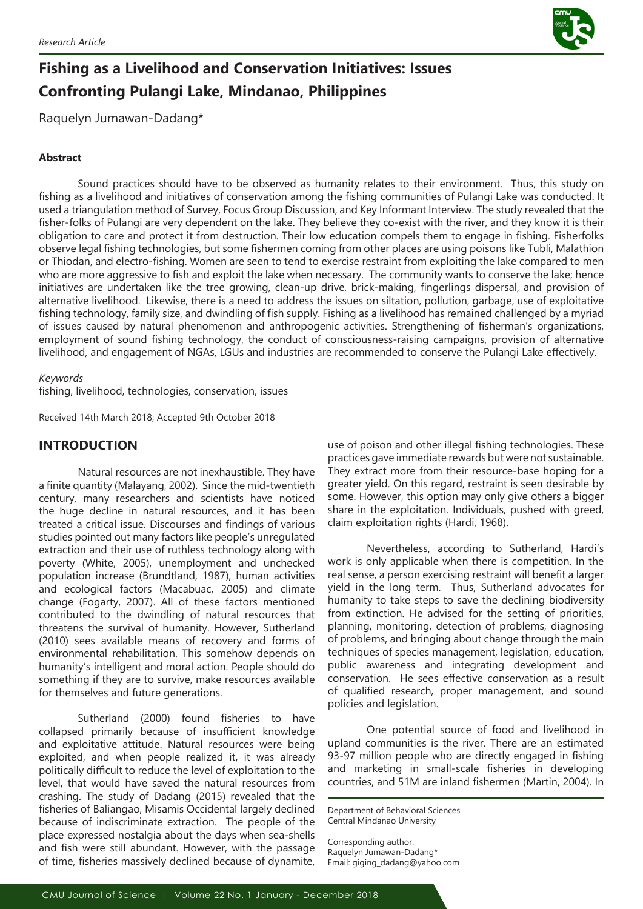

# **Fishing as a Livelihood and Conservation Initiatives: Issues Confronting Pulangi Lake, Mindanao, Philippines**

Raquelyn Jumawan-Dadang\*

## **Abstract**

Sound practices should have to be observed as humanity relates to their environment. Thus, this study on fishing as a livelihood and initiatives of conservation among the fishing communities of Pulangi Lake was conducted. It used a triangulation method of Survey, Focus Group Discussion, and Key Informant Interview. The study revealed that the fisher-folks of Pulangi are very dependent on the lake. They believe they co-exist with the river, and they know it is their obligation to care and protect it from destruction. Their low education compels them to engage in fishing. Fisherfolks observe legal fishing technologies, but some fishermen coming from other places are using poisons like Tubli, Malathion or Thiodan, and electro-fishing. Women are seen to tend to exercise restraint from exploiting the lake compared to men who are more aggressive to fish and exploit the lake when necessary. The community wants to conserve the lake; hence initiatives are undertaken like the tree growing, clean-up drive, brick-making, fingerlings dispersal, and provision of alternative livelihood. Likewise, there is a need to address the issues on siltation, pollution, garbage, use of exploitative fishing technology, family size, and dwindling of fish supply. Fishing as a livelihood has remained challenged by a myriad of issues caused by natural phenomenon and anthropogenic activities. Strengthening of fisherman's organizations, employment of sound fishing technology, the conduct of consciousness-raising campaigns, provision of alternative livelihood, and engagement of NGAs, LGUs and industries are recommended to conserve the Pulangi Lake effectively.

## *Keywords*

fishing, livelihood, technologies, conservation, issues

Received 14th March 2018; Accepted 9th October 2018

# **INTRODUCTION**

Natural resources are not inexhaustible. They have a finite quantity (Malayang, 2002). Since the mid-twentieth century, many researchers and scientists have noticed the huge decline in natural resources, and it has been treated a critical issue. Discourses and findings of various studies pointed out many factors like people's unregulated extraction and their use of ruthless technology along with poverty (White, 2005), unemployment and unchecked population increase (Brundtland, 1987), human activities and ecological factors (Macabuac, 2005) and climate change (Fogarty, 2007). All of these factors mentioned contributed to the dwindling of natural resources that threatens the survival of humanity. However, Sutherland (2010) sees available means of recovery and forms of environmental rehabilitation. This somehow depends on humanity's intelligent and moral action. People should do something if they are to survive, make resources available for themselves and future generations.

Sutherland (2000) found fisheries to have collapsed primarily because of insufficient knowledge and exploitative attitude. Natural resources were being exploited, and when people realized it, it was already politically difficult to reduce the level of exploitation to the level, that would have saved the natural resources from crashing. The study of Dadang (2015) revealed that the fisheries of Baliangao, Misamis Occidental largely declined because of indiscriminate extraction. The people of the place expressed nostalgia about the days when sea-shells and fish were still abundant. However, with the passage of time, fisheries massively declined because of dynamite, use of poison and other illegal fishing technologies. These practices gave immediate rewards but were not sustainable. They extract more from their resource-base hoping for a greater yield. On this regard, restraint is seen desirable by some. However, this option may only give others a bigger share in the exploitation. Individuals, pushed with greed, claim exploitation rights (Hardi, 1968).

Nevertheless, according to Sutherland, Hardi's work is only applicable when there is competition. In the real sense, a person exercising restraint will benefit a larger yield in the long term. Thus, Sutherland advocates for humanity to take steps to save the declining biodiversity from extinction. He advised for the setting of priorities, planning, monitoring, detection of problems, diagnosing of problems, and bringing about change through the main techniques of species management, legislation, education, public awareness and integrating development and conservation. He sees effective conservation as a result of qualified research, proper management, and sound policies and legislation.

One potential source of food and livelihood in upland communities is the river. There are an estimated 93-97 million people who are directly engaged in fishing and marketing in small-scale fisheries in developing countries, and 51M are inland fishermen (Martin, 2004). In

Department of Behavioral Sciences Central Mindanao University

Corresponding author: Raquelyn Jumawan-Dadang\* Email: giging\_dadang@yahoo.com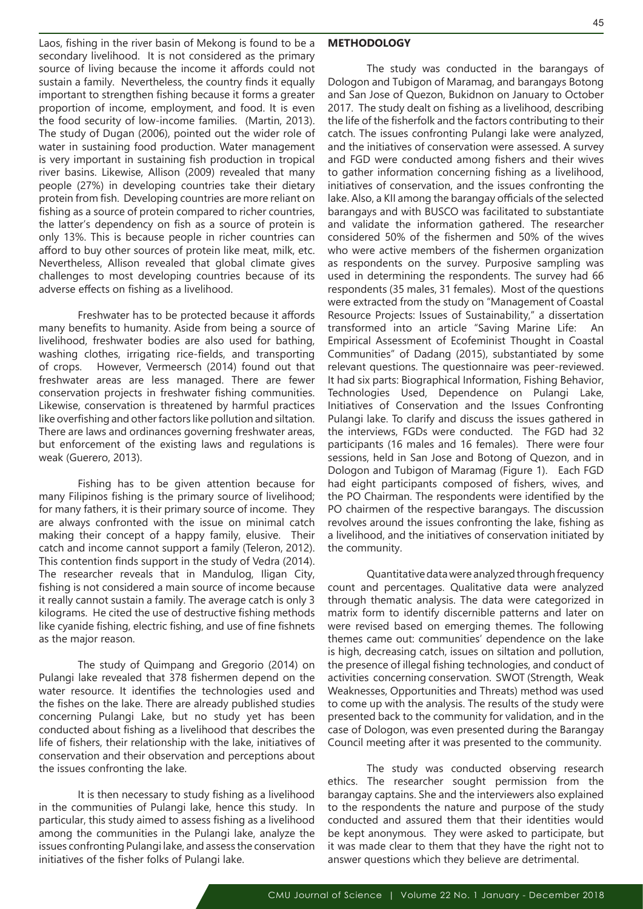Laos, fishing in the river basin of Mekong is found to be a secondary livelihood. It is not considered as the primary source of living because the income it affords could not sustain a family. Nevertheless, the country finds it equally important to strengthen fishing because it forms a greater proportion of income, employment, and food. It is even the food security of low-income families. (Martin, 2013). The study of Dugan (2006), pointed out the wider role of water in sustaining food production. Water management is very important in sustaining fish production in tropical river basins. Likewise, Allison (2009) revealed that many people (27%) in developing countries take their dietary protein from fish. Developing countries are more reliant on fishing as a source of protein compared to richer countries, the latter's dependency on fish as a source of protein is only 13%. This is because people in richer countries can afford to buy other sources of protein like meat, milk, etc. Nevertheless, Allison revealed that global climate gives challenges to most developing countries because of its adverse effects on fishing as a livelihood.

Freshwater has to be protected because it affords many benefits to humanity. Aside from being a source of livelihood, freshwater bodies are also used for bathing, washing clothes, irrigating rice-fields, and transporting of crops. However, Vermeersch (2014) found out that freshwater areas are less managed. There are fewer conservation projects in freshwater fishing communities. Likewise, conservation is threatened by harmful practices like overfishing and other factors like pollution and siltation. There are laws and ordinances governing freshwater areas, but enforcement of the existing laws and regulations is weak (Guerero, 2013).

Fishing has to be given attention because for many Filipinos fishing is the primary source of livelihood; for many fathers, it is their primary source of income. They are always confronted with the issue on minimal catch making their concept of a happy family, elusive. Their catch and income cannot support a family (Teleron, 2012). This contention finds support in the study of Vedra (2014). The researcher reveals that in Mandulog, Iligan City, fishing is not considered a main source of income because it really cannot sustain a family. The average catch is only 3 kilograms. He cited the use of destructive fishing methods like cyanide fishing, electric fishing, and use of fine fishnets as the major reason.

The study of Quimpang and Gregorio (2014) on Pulangi lake revealed that 378 fishermen depend on the water resource. It identifies the technologies used and the fishes on the lake. There are already published studies concerning Pulangi Lake, but no study yet has been conducted about fishing as a livelihood that describes the life of fishers, their relationship with the lake, initiatives of conservation and their observation and perceptions about the issues confronting the lake.

It is then necessary to study fishing as a livelihood in the communities of Pulangi lake, hence this study. In particular, this study aimed to assess fishing as a livelihood among the communities in the Pulangi lake, analyze the issues confronting Pulangi lake, and assess the conservation initiatives of the fisher folks of Pulangi lake.

## **METHODOLOGY**

The study was conducted in the barangays of Dologon and Tubigon of Maramag, and barangays Botong and San Jose of Quezon, Bukidnon on January to October 2017. The study dealt on fishing as a livelihood, describing the life of the fisherfolk and the factors contributing to their catch. The issues confronting Pulangi lake were analyzed, and the initiatives of conservation were assessed. A survey and FGD were conducted among fishers and their wives to gather information concerning fishing as a livelihood, initiatives of conservation, and the issues confronting the lake. Also, a KII among the barangay officials of the selected barangays and with BUSCO was facilitated to substantiate and validate the information gathered. The researcher considered 50% of the fishermen and 50% of the wives who were active members of the fishermen organization as respondents on the survey. Purposive sampling was used in determining the respondents. The survey had 66 respondents (35 males, 31 females). Most of the questions were extracted from the study on "Management of Coastal Resource Projects: Issues of Sustainability," a dissertation transformed into an article "Saving Marine Life: An Empirical Assessment of Ecofeminist Thought in Coastal Communities" of Dadang (2015), substantiated by some relevant questions. The questionnaire was peer-reviewed. It had six parts: Biographical Information, Fishing Behavior, Technologies Used, Dependence on Pulangi Lake, Initiatives of Conservation and the Issues Confronting Pulangi lake. To clarify and discuss the issues gathered in the interviews, FGDs were conducted. The FGD had 32 participants (16 males and 16 females). There were four sessions, held in San Jose and Botong of Quezon, and in Dologon and Tubigon of Maramag (Figure 1). Each FGD had eight participants composed of fishers, wives, and the PO Chairman. The respondents were identified by the PO chairmen of the respective barangays. The discussion revolves around the issues confronting the lake, fishing as a livelihood, and the initiatives of conservation initiated by the community.

Quantitative data were analyzed through frequency count and percentages. Qualitative data were analyzed through thematic analysis. The data were categorized in matrix form to identify discernible patterns and later on were revised based on emerging themes. The following themes came out: communities' dependence on the lake is high, decreasing catch, issues on siltation and pollution, the presence of illegal fishing technologies, and conduct of activities concerning conservation. SWOT (Strength, Weak Weaknesses, Opportunities and Threats) method was used to come up with the analysis. The results of the study were presented back to the community for validation, and in the case of Dologon, was even presented during the Barangay Council meeting after it was presented to the community.

The study was conducted observing research ethics. The researcher sought permission from the barangay captains. She and the interviewers also explained to the respondents the nature and purpose of the study conducted and assured them that their identities would be kept anonymous. They were asked to participate, but it was made clear to them that they have the right not to answer questions which they believe are detrimental.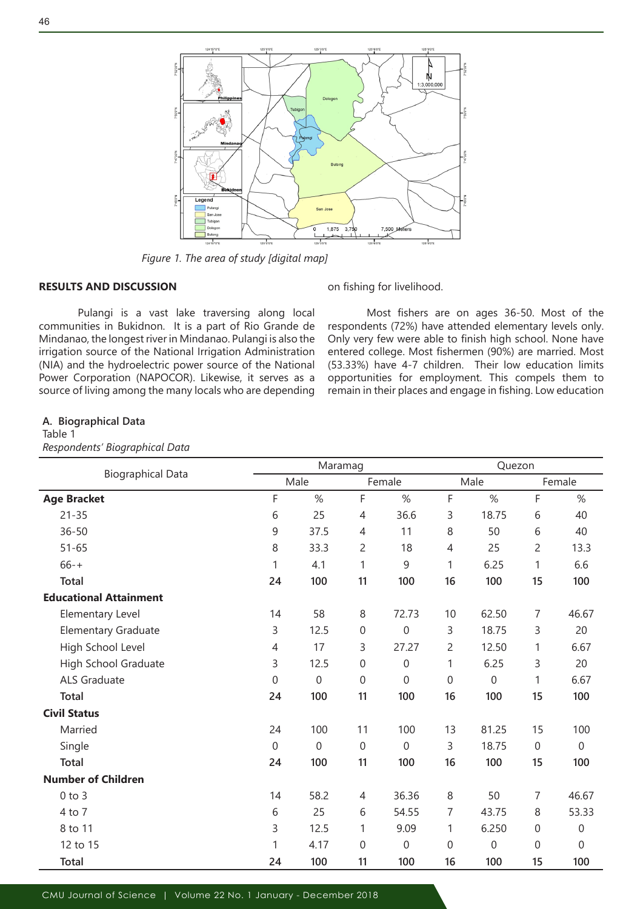

*Figure 1. The area of study [digital map]*

## **RESULTS AND DISCUSSION**

Pulangi is a vast lake traversing along local communities in Bukidnon. It is a part of Rio Grande de Mindanao, the longest river in Mindanao. Pulangi is also the irrigation source of the National Irrigation Administration (NIA) and the hydroelectric power source of the National Power Corporation (NAPOCOR). Likewise, it serves as a source of living among the many locals who are depending on fishing for livelihood.

Most fishers are on ages 36-50. Most of the respondents (72%) have attended elementary levels only. Only very few were able to finish high school. None have entered college. Most fishermen (90%) are married. Most (53.33%) have 4-7 children. Their low education limits opportunities for employment. This compels them to remain in their places and engage in fishing. Low education

## **A. Biographical Data**

Table 1

## *Respondents' Biographical Data*

| <b>Biographical Data</b>      | Maramag          |                  |              |             | Quezon |                  |                  |              |
|-------------------------------|------------------|------------------|--------------|-------------|--------|------------------|------------------|--------------|
|                               | Male             |                  | Female       |             | Male   |                  | Female           |              |
| <b>Age Bracket</b>            | F                | %                | F            | %           | F      | %                | F                | %            |
| $21 - 35$                     | 6                | 25               | 4            | 36.6        | 3      | 18.75            | 6                | 40           |
| $36 - 50$                     | 9                | 37.5             | 4            | 11          | 8      | 50               | 6                | 40           |
| $51 - 65$                     | 8                | 33.3             | 2            | 18          | 4      | 25               | $\overline{c}$   | 13.3         |
| $66 - +$                      | 1                | 4.1              | 1            | 9           | 1      | 6.25             | 1                | 6.6          |
| <b>Total</b>                  | 24               | 100              | 11           | 100         | 16     | 100              | 15               | 100          |
| <b>Educational Attainment</b> |                  |                  |              |             |        |                  |                  |              |
| Elementary Level              | 14               | 58               | 8            | 72.73       | 10     | 62.50            | 7                | 46.67        |
| <b>Elementary Graduate</b>    | 3                | 12.5             | $\mathbf 0$  | $\mathbf 0$ | 3      | 18.75            | 3                | 20           |
| High School Level             | 4                | 17               | 3            | 27.27       | 2      | 12.50            | 1                | 6.67         |
| High School Graduate          | 3                | 12.5             | $\mathbf{0}$ | $\mathbf 0$ | 1      | 6.25             | 3                | 20           |
| ALS Graduate                  | 0                | $\boldsymbol{0}$ | $\mathbf 0$  | $\mathbf 0$ | 0      | $\boldsymbol{0}$ | 1                | 6.67         |
| <b>Total</b>                  | 24               | 100              | 11           | 100         | 16     | 100              | 15               | 100          |
| <b>Civil Status</b>           |                  |                  |              |             |        |                  |                  |              |
| Married                       | 24               | 100              | 11           | 100         | 13     | 81.25            | 15               | 100          |
| Single                        | $\boldsymbol{0}$ | $\mathbf 0$      | $\mathbf 0$  | $\mathbf 0$ | 3      | 18.75            | $\boldsymbol{0}$ | $\mathbf{0}$ |
| <b>Total</b>                  | 24               | 100              | 11           | 100         | 16     | 100              | 15               | 100          |
| <b>Number of Children</b>     |                  |                  |              |             |        |                  |                  |              |
| $0$ to $3$                    | 14               | 58.2             | 4            | 36.36       | 8      | 50               | $\overline{7}$   | 46.67        |
| 4 to 7                        | 6                | 25               | 6            | 54.55       | 7      | 43.75            | 8                | 53.33        |
| 8 to 11                       | 3                | 12.5             | 1            | 9.09        | 1      | 6.250            | $\boldsymbol{0}$ | $\Omega$     |
| 12 to 15                      | 1                | 4.17             | $\mathbf 0$  | $\mathbf 0$ | 0      | 0                | 0                | $\Omega$     |
| <b>Total</b>                  | 24               | 100              | 11           | 100         | 16     | 100              | 15               | 100          |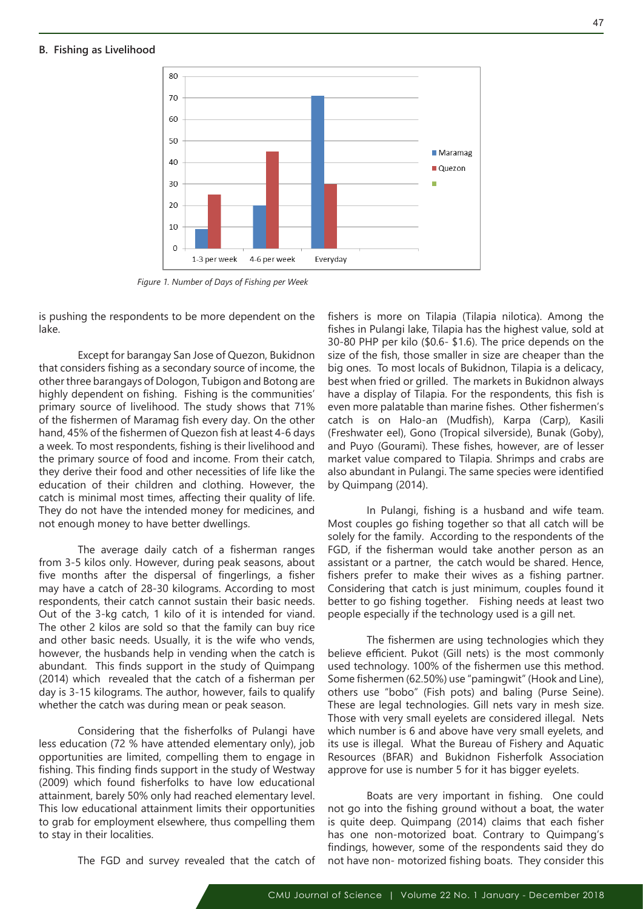#### **B. Fishing as Livelihood**



*Figure 1. Number of Days of Fishing per Week*

is pushing the respondents to be more dependent on the lake.

Except for barangay San Jose of Quezon, Bukidnon that considers fishing as a secondary source of income, the other three barangays of Dologon, Tubigon and Botong are highly dependent on fishing. Fishing is the communities' primary source of livelihood. The study shows that 71% of the fishermen of Maramag fish every day. On the other hand, 45% of the fishermen of Quezon fish at least 4-6 days a week. To most respondents, fishing is their livelihood and the primary source of food and income. From their catch, they derive their food and other necessities of life like the education of their children and clothing. However, the catch is minimal most times, affecting their quality of life. They do not have the intended money for medicines, and not enough money to have better dwellings.

The average daily catch of a fisherman ranges from 3-5 kilos only. However, during peak seasons, about five months after the dispersal of fingerlings, a fisher may have a catch of 28-30 kilograms. According to most respondents, their catch cannot sustain their basic needs. Out of the 3-kg catch, 1 kilo of it is intended for viand. The other 2 kilos are sold so that the family can buy rice and other basic needs. Usually, it is the wife who vends, however, the husbands help in vending when the catch is abundant. This finds support in the study of Quimpang (2014) which revealed that the catch of a fisherman per day is 3-15 kilograms. The author, however, fails to qualify whether the catch was during mean or peak season.

Considering that the fisherfolks of Pulangi have less education (72 % have attended elementary only), job opportunities are limited, compelling them to engage in fishing. This finding finds support in the study of Westway (2009) which found fisherfolks to have low educational attainment, barely 50% only had reached elementary level. This low educational attainment limits their opportunities to grab for employment elsewhere, thus compelling them to stay in their localities.

fishers is more on Tilapia (Tilapia nilotica). Among the fishes in Pulangi lake, Tilapia has the highest value, sold at 30-80 PHP per kilo (\$0.6- \$1.6). The price depends on the size of the fish, those smaller in size are cheaper than the big ones. To most locals of Bukidnon, Tilapia is a delicacy, best when fried or grilled. The markets in Bukidnon always have a display of Tilapia. For the respondents, this fish is even more palatable than marine fishes. Other fishermen's catch is on Halo-an (Mudfish), Karpa (Carp), Kasili (Freshwater eel), Gono (Tropical silverside), Bunak (Goby), and Puyo (Gourami). These fishes, however, are of lesser market value compared to Tilapia. Shrimps and crabs are also abundant in Pulangi. The same species were identified by Quimpang (2014).

In Pulangi, fishing is a husband and wife team. Most couples go fishing together so that all catch will be solely for the family. According to the respondents of the FGD, if the fisherman would take another person as an assistant or a partner, the catch would be shared. Hence, fishers prefer to make their wives as a fishing partner. Considering that catch is just minimum, couples found it better to go fishing together. Fishing needs at least two people especially if the technology used is a gill net.

The fishermen are using technologies which they believe efficient. Pukot (Gill nets) is the most commonly used technology. 100% of the fishermen use this method. Some fishermen (62.50%) use "pamingwit" (Hook and Line), others use "bobo" (Fish pots) and baling (Purse Seine). These are legal technologies. Gill nets vary in mesh size. Those with very small eyelets are considered illegal. Nets which number is 6 and above have very small eyelets, and its use is illegal. What the Bureau of Fishery and Aquatic Resources (BFAR) and Bukidnon Fisherfolk Association approve for use is number 5 for it has bigger eyelets.

Boats are very important in fishing. One could not go into the fishing ground without a boat, the water is quite deep. Quimpang (2014) claims that each fisher has one non-motorized boat. Contrary to Quimpang's findings, however, some of the respondents said they do not have non- motorized fishing boats. They consider this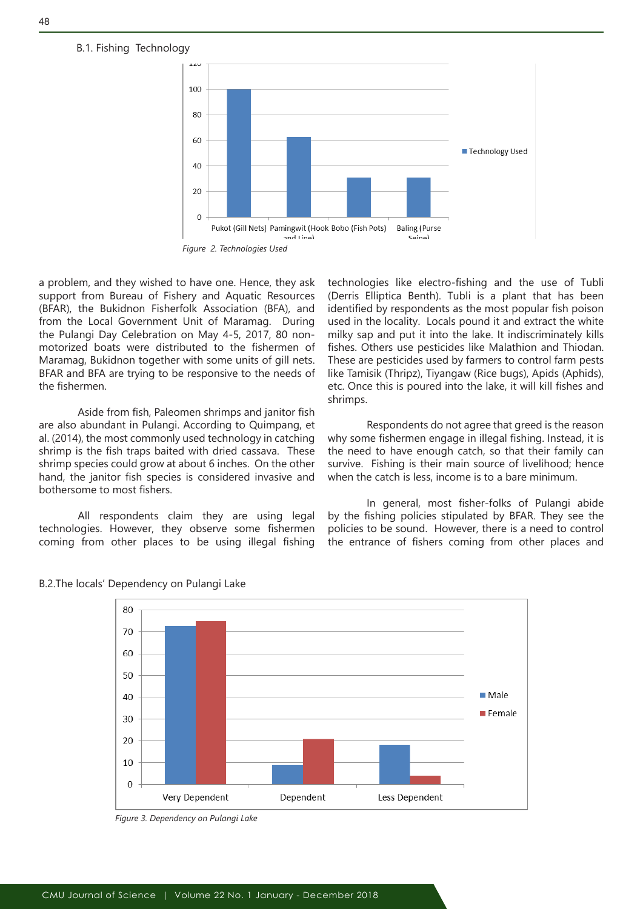## B.1. Fishing Technology



a problem, and they wished to have one. Hence, they ask support from Bureau of Fishery and Aquatic Resources (BFAR), the Bukidnon Fisherfolk Association (BFA), and from the Local Government Unit of Maramag. During the Pulangi Day Celebration on May 4-5, 2017, 80 nonmotorized boats were distributed to the fishermen of Maramag, Bukidnon together with some units of gill nets. BFAR and BFA are trying to be responsive to the needs of the fishermen.

Aside from fish, Paleomen shrimps and janitor fish are also abundant in Pulangi. According to Quimpang, et al. (2014), the most commonly used technology in catching shrimp is the fish traps baited with dried cassava. These shrimp species could grow at about 6 inches. On the other hand, the janitor fish species is considered invasive and bothersome to most fishers.

All respondents claim they are using legal technologies. However, they observe some fishermen coming from other places to be using illegal fishing

technologies like electro-fishing and the use of Tubli (Derris Elliptica Benth). Tubli is a plant that has been identified by respondents as the most popular fish poison used in the locality. Locals pound it and extract the white milky sap and put it into the lake. It indiscriminately kills fishes. Others use pesticides like Malathion and Thiodan. These are pesticides used by farmers to control farm pests like Tamisik (Thripz), Tiyangaw (Rice bugs), Apids (Aphids), etc. Once this is poured into the lake, it will kill fishes and shrimps.

Respondents do not agree that greed is the reason why some fishermen engage in illegal fishing. Instead, it is the need to have enough catch, so that their family can survive. Fishing is their main source of livelihood; hence when the catch is less, income is to a bare minimum.

In general, most fisher-folks of Pulangi abide by the fishing policies stipulated by BFAR. They see the policies to be sound. However, there is a need to control the entrance of fishers coming from other places and



#### B.2.The locals' Dependency on Pulangi Lake

*Figure 3. Dependency on Pulangi Lake*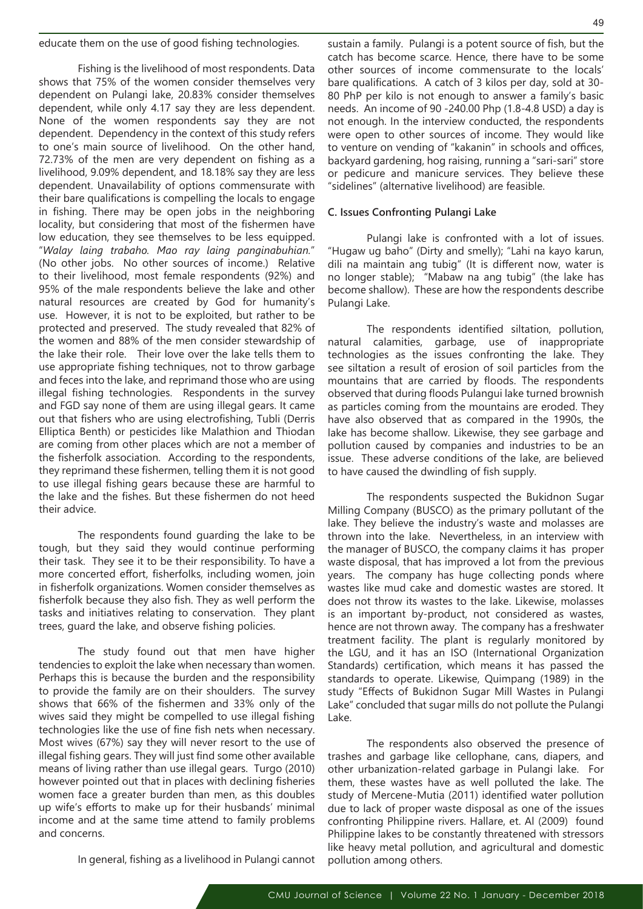educate them on the use of good fishing technologies.

Fishing is the livelihood of most respondents. Data shows that 75% of the women consider themselves very dependent on Pulangi lake, 20.83% consider themselves dependent, while only 4.17 say they are less dependent. None of the women respondents say they are not dependent. Dependency in the context of this study refers to one's main source of livelihood. On the other hand, 72.73% of the men are very dependent on fishing as a livelihood, 9.09% dependent, and 18.18% say they are less dependent. Unavailability of options commensurate with their bare qualifications is compelling the locals to engage in fishing. There may be open jobs in the neighboring locality, but considering that most of the fishermen have low education, they see themselves to be less equipped. "*Walay laing trabaho. Mao ray laing panginabuhian.*" (No other jobs. No other sources of income.) Relative to their livelihood, most female respondents (92%) and 95% of the male respondents believe the lake and other natural resources are created by God for humanity's use. However, it is not to be exploited, but rather to be protected and preserved. The study revealed that 82% of the women and 88% of the men consider stewardship of the lake their role. Their love over the lake tells them to use appropriate fishing techniques, not to throw garbage and feces into the lake, and reprimand those who are using illegal fishing technologies. Respondents in the survey and FGD say none of them are using illegal gears. It came out that fishers who are using electrofishing, Tubli (Derris Elliptica Benth) or pesticides like Malathion and Thiodan are coming from other places which are not a member of the fisherfolk association. According to the respondents, they reprimand these fishermen, telling them it is not good to use illegal fishing gears because these are harmful to the lake and the fishes. But these fishermen do not heed their advice.

The respondents found guarding the lake to be tough, but they said they would continue performing their task. They see it to be their responsibility. To have a more concerted effort, fisherfolks, including women, join in fisherfolk organizations. Women consider themselves as fisherfolk because they also fish. They as well perform the tasks and initiatives relating to conservation. They plant trees, guard the lake, and observe fishing policies.

The study found out that men have higher tendencies to exploit the lake when necessary than women. Perhaps this is because the burden and the responsibility to provide the family are on their shoulders. The survey shows that 66% of the fishermen and 33% only of the wives said they might be compelled to use illegal fishing technologies like the use of fine fish nets when necessary. Most wives (67%) say they will never resort to the use of illegal fishing gears. They will just find some other available means of living rather than use illegal gears. Turgo (2010) however pointed out that in places with declining fisheries women face a greater burden than men, as this doubles up wife's efforts to make up for their husbands' minimal income and at the same time attend to family problems and concerns.

In general, fishing as a livelihood in Pulangi cannot

sustain a family. Pulangi is a potent source of fish, but the catch has become scarce. Hence, there have to be some other sources of income commensurate to the locals' bare qualifications. A catch of 3 kilos per day, sold at 30- 80 PhP per kilo is not enough to answer a family's basic needs. An income of 90 -240.00 Php (1.8-4.8 USD) a day is not enough. In the interview conducted, the respondents were open to other sources of income. They would like to venture on vending of "kakanin" in schools and offices, backyard gardening, hog raising, running a "sari-sari" store or pedicure and manicure services. They believe these "sidelines" (alternative livelihood) are feasible.

#### **C. Issues Confronting Pulangi Lake**

Pulangi lake is confronted with a lot of issues. "Hugaw ug baho" (Dirty and smelly); "Lahi na kayo karun, dili na maintain ang tubig" (It is different now, water is no longer stable); "Mabaw na ang tubig" (the lake has become shallow). These are how the respondents describe Pulangi Lake.

The respondents identified siltation, pollution, natural calamities, garbage, use of inappropriate technologies as the issues confronting the lake. They see siltation a result of erosion of soil particles from the mountains that are carried by floods. The respondents observed that during floods Pulangui lake turned brownish as particles coming from the mountains are eroded. They have also observed that as compared in the 1990s, the lake has become shallow. Likewise, they see garbage and pollution caused by companies and industries to be an issue. These adverse conditions of the lake, are believed to have caused the dwindling of fish supply.

The respondents suspected the Bukidnon Sugar Milling Company (BUSCO) as the primary pollutant of the lake. They believe the industry's waste and molasses are thrown into the lake. Nevertheless, in an interview with the manager of BUSCO, the company claims it has proper waste disposal, that has improved a lot from the previous years. The company has huge collecting ponds where wastes like mud cake and domestic wastes are stored. It does not throw its wastes to the lake. Likewise, molasses is an important by-product, not considered as wastes, hence are not thrown away. The company has a freshwater treatment facility. The plant is regularly monitored by the LGU, and it has an ISO (International Organization Standards) certification, which means it has passed the standards to operate. Likewise, Quimpang (1989) in the study "Effects of Bukidnon Sugar Mill Wastes in Pulangi Lake" concluded that sugar mills do not pollute the Pulangi Lake.

The respondents also observed the presence of trashes and garbage like cellophane, cans, diapers, and other urbanization-related garbage in Pulangi lake. For them, these wastes have as well polluted the lake. The study of Mercene-Mutia (2011) identified water pollution due to lack of proper waste disposal as one of the issues confronting Philippine rivers. Hallare, et. Al (2009) found Philippine lakes to be constantly threatened with stressors like heavy metal pollution, and agricultural and domestic pollution among others.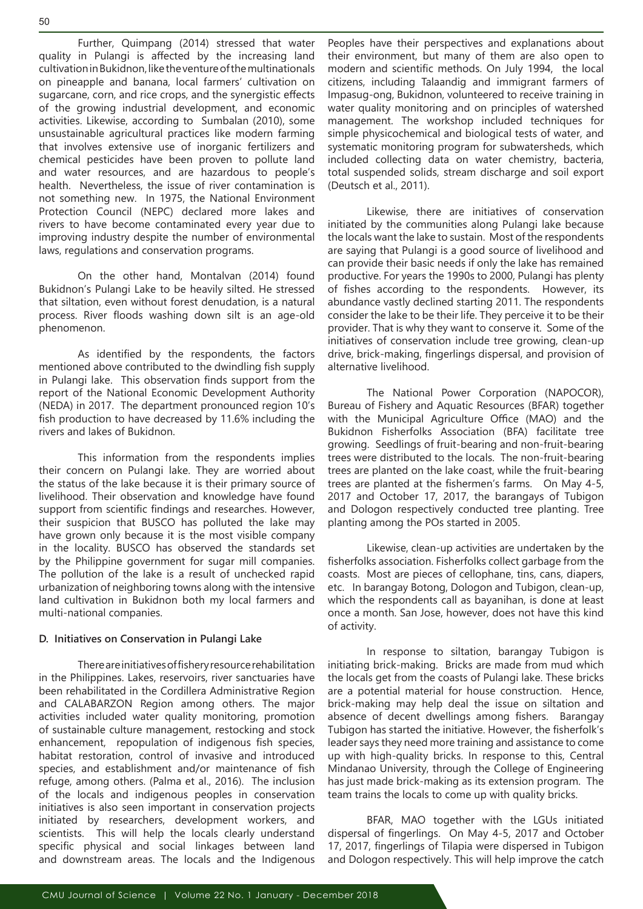50

Further, Quimpang (2014) stressed that water quality in Pulangi is affected by the increasing land cultivation in Bukidnon, like the venture of the multinationals on pineapple and banana, local farmers' cultivation on sugarcane, corn, and rice crops, and the synergistic effects of the growing industrial development, and economic activities. Likewise, according to Sumbalan (2010), some unsustainable agricultural practices like modern farming that involves extensive use of inorganic fertilizers and chemical pesticides have been proven to pollute land and water resources, and are hazardous to people's health. Nevertheless, the issue of river contamination is not something new. In 1975, the National Environment Protection Council (NEPC) declared more lakes and rivers to have become contaminated every year due to improving industry despite the number of environmental laws, regulations and conservation programs.

On the other hand, Montalvan (2014) found Bukidnon's Pulangi Lake to be heavily silted. He stressed that siltation, even without forest denudation, is a natural process. River floods washing down silt is an age-old phenomenon.

As identified by the respondents, the factors mentioned above contributed to the dwindling fish supply in Pulangi lake. This observation finds support from the report of the National Economic Development Authority (NEDA) in 2017. The department pronounced region 10's fish production to have decreased by 11.6% including the rivers and lakes of Bukidnon.

This information from the respondents implies their concern on Pulangi lake. They are worried about the status of the lake because it is their primary source of livelihood. Their observation and knowledge have found support from scientific findings and researches. However, their suspicion that BUSCO has polluted the lake may have grown only because it is the most visible company in the locality. BUSCO has observed the standards set by the Philippine government for sugar mill companies. The pollution of the lake is a result of unchecked rapid urbanization of neighboring towns along with the intensive land cultivation in Bukidnon both my local farmers and multi-national companies.

## **D. Initiatives on Conservation in Pulangi Lake**

There are initiatives of fishery resource rehabilitation in the Philippines. Lakes, reservoirs, river sanctuaries have been rehabilitated in the Cordillera Administrative Region and CALABARZON Region among others. The major activities included water quality monitoring, promotion of sustainable culture management, restocking and stock enhancement, repopulation of indigenous fish species, habitat restoration, control of invasive and introduced species, and establishment and/or maintenance of fish refuge, among others. (Palma et al., 2016). The inclusion of the locals and indigenous peoples in conservation initiatives is also seen important in conservation projects initiated by researchers, development workers, and scientists. This will help the locals clearly understand specific physical and social linkages between land and downstream areas. The locals and the Indigenous Peoples have their perspectives and explanations about their environment, but many of them are also open to modern and scientific methods. On July 1994, the local citizens, including Talaandig and immigrant farmers of Impasug-ong, Bukidnon, volunteered to receive training in water quality monitoring and on principles of watershed management. The workshop included techniques for simple physicochemical and biological tests of water, and systematic monitoring program for subwatersheds, which included collecting data on water chemistry, bacteria, total suspended solids, stream discharge and soil export (Deutsch et al., 2011).

Likewise, there are initiatives of conservation initiated by the communities along Pulangi lake because the locals want the lake to sustain. Most of the respondents are saying that Pulangi is a good source of livelihood and can provide their basic needs if only the lake has remained productive. For years the 1990s to 2000, Pulangi has plenty of fishes according to the respondents. However, its abundance vastly declined starting 2011. The respondents consider the lake to be their life. They perceive it to be their provider. That is why they want to conserve it. Some of the initiatives of conservation include tree growing, clean-up drive, brick-making, fingerlings dispersal, and provision of alternative livelihood.

The National Power Corporation (NAPOCOR), Bureau of Fishery and Aquatic Resources (BFAR) together with the Municipal Agriculture Office (MAO) and the Bukidnon Fisherfolks Association (BFA) facilitate tree growing. Seedlings of fruit-bearing and non-fruit-bearing trees were distributed to the locals. The non-fruit-bearing trees are planted on the lake coast, while the fruit-bearing trees are planted at the fishermen's farms. On May 4-5, 2017 and October 17, 2017, the barangays of Tubigon and Dologon respectively conducted tree planting. Tree planting among the POs started in 2005.

Likewise, clean-up activities are undertaken by the fisherfolks association. Fisherfolks collect garbage from the coasts. Most are pieces of cellophane, tins, cans, diapers, etc. In barangay Botong, Dologon and Tubigon, clean-up, which the respondents call as bayanihan, is done at least once a month. San Jose, however, does not have this kind of activity.

In response to siltation, barangay Tubigon is initiating brick-making. Bricks are made from mud which the locals get from the coasts of Pulangi lake. These bricks are a potential material for house construction. Hence, brick-making may help deal the issue on siltation and absence of decent dwellings among fishers. Barangay Tubigon has started the initiative. However, the fisherfolk's leader says they need more training and assistance to come up with high-quality bricks. In response to this, Central Mindanao University, through the College of Engineering has just made brick-making as its extension program. The team trains the locals to come up with quality bricks.

BFAR, MAO together with the LGUs initiated dispersal of fingerlings. On May 4-5, 2017 and October 17, 2017, fingerlings of Tilapia were dispersed in Tubigon and Dologon respectively. This will help improve the catch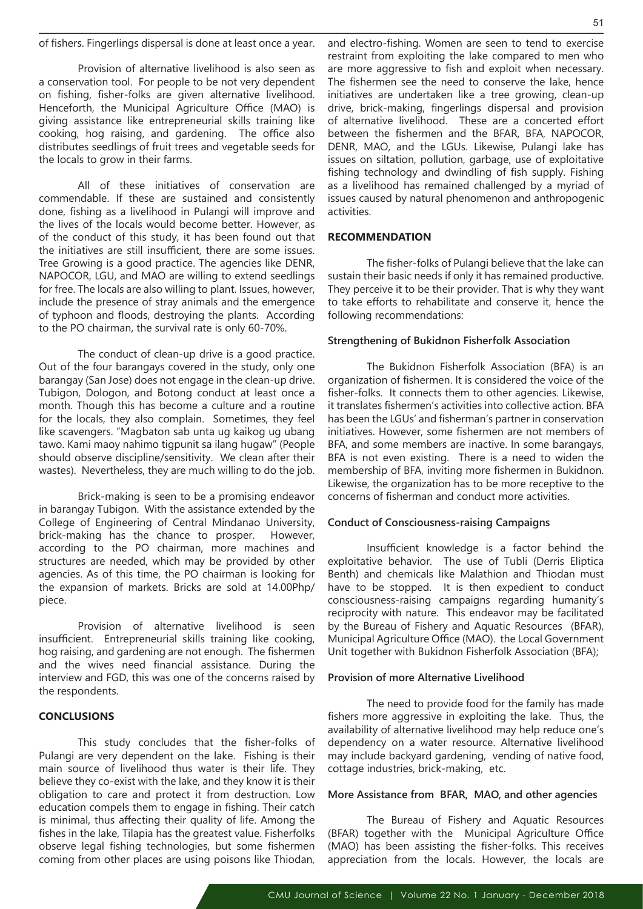of fishers. Fingerlings dispersal is done at least once a year.

Provision of alternative livelihood is also seen as a conservation tool. For people to be not very dependent on fishing, fisher-folks are given alternative livelihood. Henceforth, the Municipal Agriculture Office (MAO) is giving assistance like entrepreneurial skills training like cooking, hog raising, and gardening. The office also distributes seedlings of fruit trees and vegetable seeds for the locals to grow in their farms.

All of these initiatives of conservation are commendable. If these are sustained and consistently done, fishing as a livelihood in Pulangi will improve and the lives of the locals would become better. However, as of the conduct of this study, it has been found out that the initiatives are still insufficient, there are some issues. Tree Growing is a good practice. The agencies like DENR, NAPOCOR, LGU, and MAO are willing to extend seedlings for free. The locals are also willing to plant. Issues, however, include the presence of stray animals and the emergence of typhoon and floods, destroying the plants. According to the PO chairman, the survival rate is only 60-70%.

The conduct of clean-up drive is a good practice. Out of the four barangays covered in the study, only one barangay (San Jose) does not engage in the clean-up drive. Tubigon, Dologon, and Botong conduct at least once a month. Though this has become a culture and a routine for the locals, they also complain. Sometimes, they feel like scavengers. "Magbaton sab unta ug kaikog ug ubang tawo. Kami maoy nahimo tigpunit sa ilang hugaw" (People should observe discipline/sensitivity. We clean after their wastes). Nevertheless, they are much willing to do the job.

Brick-making is seen to be a promising endeavor in barangay Tubigon. With the assistance extended by the College of Engineering of Central Mindanao University, brick-making has the chance to prosper. However, according to the PO chairman, more machines and structures are needed, which may be provided by other agencies. As of this time, the PO chairman is looking for the expansion of markets. Bricks are sold at 14.00Php/ piece.

Provision of alternative livelihood is seen insufficient. Entrepreneurial skills training like cooking, hog raising, and gardening are not enough. The fishermen and the wives need financial assistance. During the interview and FGD, this was one of the concerns raised by the respondents.

#### **CONCLUSIONS**

This study concludes that the fisher-folks of Pulangi are very dependent on the lake. Fishing is their main source of livelihood thus water is their life. They believe they co-exist with the lake, and they know it is their obligation to care and protect it from destruction. Low education compels them to engage in fishing. Their catch is minimal, thus affecting their quality of life. Among the fishes in the lake, Tilapia has the greatest value. Fisherfolks observe legal fishing technologies, but some fishermen coming from other places are using poisons like Thiodan,

and electro-fishing. Women are seen to tend to exercise restraint from exploiting the lake compared to men who are more aggressive to fish and exploit when necessary. The fishermen see the need to conserve the lake, hence initiatives are undertaken like a tree growing, clean-up drive, brick-making, fingerlings dispersal and provision of alternative livelihood. These are a concerted effort between the fishermen and the BFAR, BFA, NAPOCOR, DENR, MAO, and the LGUs. Likewise, Pulangi lake has issues on siltation, pollution, garbage, use of exploitative fishing technology and dwindling of fish supply. Fishing as a livelihood has remained challenged by a myriad of issues caused by natural phenomenon and anthropogenic activities.

#### **RECOMMENDATION**

The fisher-folks of Pulangi believe that the lake can sustain their basic needs if only it has remained productive. They perceive it to be their provider. That is why they want to take efforts to rehabilitate and conserve it, hence the following recommendations:

#### **Strengthening of Bukidnon Fisherfolk Association**

The Bukidnon Fisherfolk Association (BFA) is an organization of fishermen. It is considered the voice of the fisher-folks. It connects them to other agencies. Likewise, it translates fishermen's activities into collective action. BFA has been the LGUs' and fisherman's partner in conservation initiatives. However, some fishermen are not members of BFA, and some members are inactive. In some barangays, BFA is not even existing. There is a need to widen the membership of BFA, inviting more fishermen in Bukidnon. Likewise, the organization has to be more receptive to the concerns of fisherman and conduct more activities.

#### **Conduct of Consciousness-raising Campaigns**

Insufficient knowledge is a factor behind the exploitative behavior. The use of Tubli (Derris Eliptica Benth) and chemicals like Malathion and Thiodan must have to be stopped. It is then expedient to conduct consciousness-raising campaigns regarding humanity's reciprocity with nature. This endeavor may be facilitated by the Bureau of Fishery and Aquatic Resources (BFAR), Municipal Agriculture Office (MAO). the Local Government Unit together with Bukidnon Fisherfolk Association (BFA);

#### **Provision of more Alternative Livelihood**

The need to provide food for the family has made fishers more aggressive in exploiting the lake. Thus, the availability of alternative livelihood may help reduce one's dependency on a water resource. Alternative livelihood may include backyard gardening, vending of native food, cottage industries, brick-making, etc.

#### **More Assistance from BFAR, MAO, and other agencies**

The Bureau of Fishery and Aquatic Resources (BFAR) together with the Municipal Agriculture Office (MAO) has been assisting the fisher-folks. This receives appreciation from the locals. However, the locals are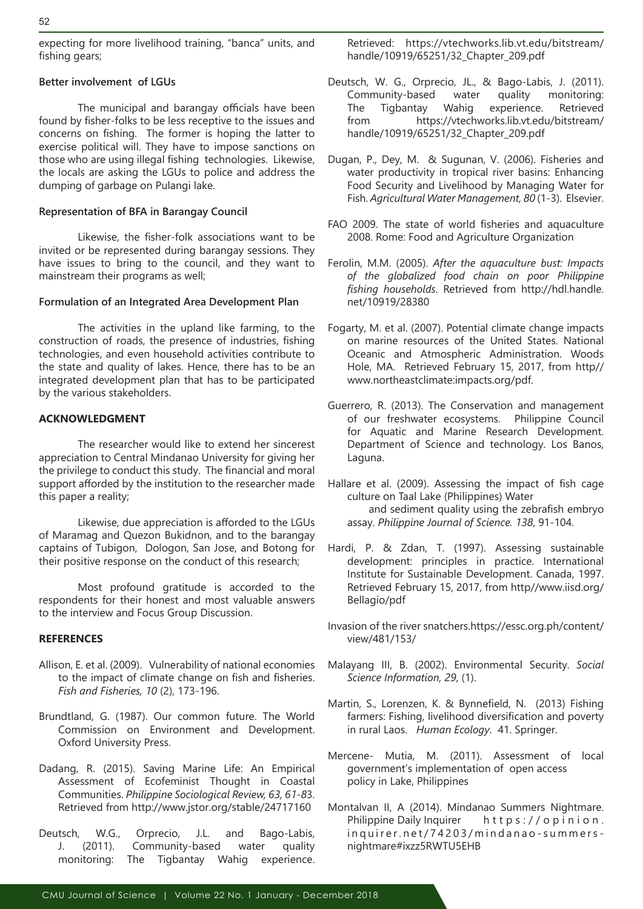expecting for more livelihood training, "banca" units, and fishing gears;

## **Better involvement of LGUs**

The municipal and barangay officials have been found by fisher-folks to be less receptive to the issues and concerns on fishing. The former is hoping the latter to exercise political will. They have to impose sanctions on those who are using illegal fishing technologies. Likewise, the locals are asking the LGUs to police and address the dumping of garbage on Pulangi lake.

## **Representation of BFA in Barangay Council**

Likewise, the fisher-folk associations want to be invited or be represented during barangay sessions. They have issues to bring to the council, and they want to mainstream their programs as well;

## **Formulation of an Integrated Area Development Plan**

The activities in the upland like farming, to the construction of roads, the presence of industries, fishing technologies, and even household activities contribute to the state and quality of lakes. Hence, there has to be an integrated development plan that has to be participated by the various stakeholders.

## **ACKNOWLEDGMENT**

The researcher would like to extend her sincerest appreciation to Central Mindanao University for giving her the privilege to conduct this study. The financial and moral support afforded by the institution to the researcher made this paper a reality;

Likewise, due appreciation is afforded to the LGUs of Maramag and Quezon Bukidnon, and to the barangay captains of Tubigon, Dologon, San Jose, and Botong for their positive response on the conduct of this research;

Most profound gratitude is accorded to the respondents for their honest and most valuable answers to the interview and Focus Group Discussion.

## **REFERENCES**

- Allison, E. et al. (2009). Vulnerability of national economies to the impact of climate change on fish and fisheries. *Fish and Fisheries, 10* (2), 173-196.
- Brundtland, G. (1987). Our common future. The World Commission on Environment and Development. Oxford University Press.
- Dadang, R. (2015). Saving Marine Life: An Empirical Assessment of Ecofeminist Thought in Coastal Communities. *Philippine Sociological Review, 63, 61-8*3. Retrieved from http://www.jstor.org/stable/24717160
- Deutsch, W.G., Orprecio, J.L. and Bago-Labis, J. (2011). Community-based water quality monitoring: The Tigbantay Wahig experience.

Retrieved: https://vtechworks.lib.vt.edu/bitstream/ handle/10919/65251/32\_Chapter\_209.pdf

- Deutsch, W. G., Orprecio, JL., & Bago-Labis, J. (2011). Community-based water quality monitoring: The Tigbantay Wahig experience. Retrieved from https://vtechworks.lib.vt.edu/bitstream/ handle/10919/65251/32\_Chapter\_209.pdf
- Dugan, P., Dey, M. & Sugunan, V. (2006). Fisheries and water productivity in tropical river basins: Enhancing Food Security and Livelihood by Managing Water for Fish. *Agricultural Water Management, 80* (1-3). Elsevier.
- FAO 2009. The state of world fisheries and aquaculture 2008. Rome: Food and Agriculture Organization
- Ferolin, M.M. (2005). *After the aquaculture bust: Impacts of the globalized food chain on poor Philippine fishing households*. Retrieved from http://hdl.handle. net/10919/28380
- Fogarty, M. et al. (2007). Potential climate change impacts on marine resources of the United States. National Oceanic and Atmospheric Administration. Woods Hole, MA. Retrieved February 15, 2017, from http// www.northeastclimate:impacts.org/pdf.
- Guerrero, R. (2013). The Conservation and management of our freshwater ecosystems. Philippine Council for Aquatic and Marine Research Development. Department of Science and technology. Los Banos, Laguna.

Hallare et al. (2009). Assessing the impact of fish cage culture on Taal Lake (Philippines) Water and sediment quality using the zebrafish embryo assay. *Philippine Journal of Science. 138*, 91-104.

- Hardi, P. & Zdan, T. (1997). Assessing sustainable development: principles in practice. International Institute for Sustainable Development. Canada, 1997. Retrieved February 15, 2017, from http//www.iisd.org/ Bellagio/pdf
- Invasion of the river snatchers.https://essc.org.ph/content/ view/481/153/
- Malayang III, B. (2002). Environmental Security. *Social Science Information, 29*, (1).
- Martin, S., Lorenzen, K. & Bynnefield, N. (2013) Fishing farmers: Fishing, livelihood diversification and poverty in rural Laos. *Human Ecology*. 41. Springer.
- Mercene- Mutia, M. (2011). Assessment of local government's implementation of open access policy in Lake, Philippines
- Montalvan II, A (2014). Mindanao Summers Nightmare. Philippine Daily Inquirer https://opinion. inquirer.net/74203/mindanao-summersnightmare#ixzz5RWTU5EHB